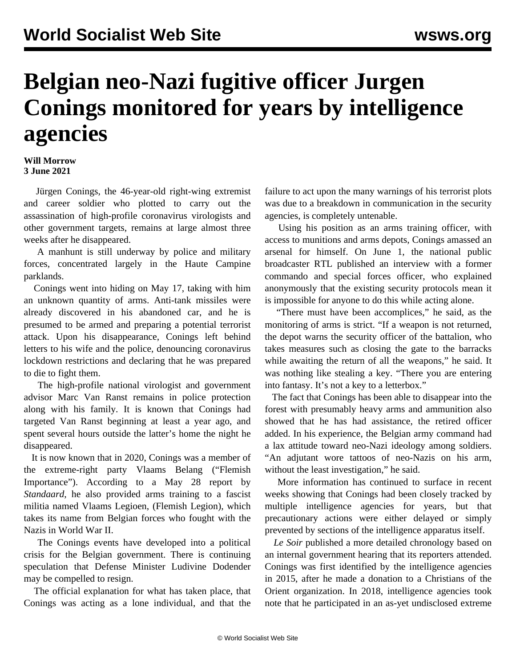## **Belgian neo-Nazi fugitive officer Jurgen Conings monitored for years by intelligence agencies**

## **Will Morrow 3 June 2021**

 Jürgen Conings, the 46-year-old right-wing extremist and career soldier who plotted to carry out the assassination of high-profile coronavirus virologists and other government targets, remains at large almost three weeks after he disappeared.

 A manhunt is still underway by police and military forces, concentrated largely in the Haute Campine parklands.

 Conings went into hiding on May 17, taking with him an unknown quantity of arms. Anti-tank missiles were already discovered in his abandoned car, and he is presumed to be armed and preparing a potential terrorist attack. Upon his disappearance, Conings left behind letters to his wife and the police, denouncing coronavirus lockdown restrictions and declaring that he was prepared to die to fight them.

 The high-profile national virologist and government advisor Marc Van Ranst remains in police protection along with his family. It is known that Conings had targeted Van Ranst beginning at least a year ago, and spent several hours outside the latter's home the night he disappeared.

 It is now known that in 2020, Conings was a member of the extreme-right party Vlaams Belang ("Flemish Importance"). According to a May 28 report by *Standaard*, he also provided arms training to a fascist militia named Vlaams Legioen, (Flemish Legion), which takes its name from Belgian forces who fought with the Nazis in World War II.

 The Conings events have developed into a political crisis for the Belgian government. There is continuing speculation that Defense Minister Ludivine Dodender may be compelled to resign.

 The official explanation for what has taken place, that Conings was acting as a lone individual, and that the

failure to act upon the many warnings of his terrorist plots was due to a breakdown in communication in the security agencies, is completely untenable.

 Using his position as an arms training officer, with access to munitions and arms depots, Conings amassed an arsenal for himself. On June 1, the national public broadcaster RTL published an interview with a former commando and special forces officer, who explained anonymously that the existing security protocols mean it is impossible for anyone to do this while acting alone.

 "There must have been accomplices," he said, as the monitoring of arms is strict. "If a weapon is not returned, the depot warns the security officer of the battalion, who takes measures such as closing the gate to the barracks while awaiting the return of all the weapons," he said. It was nothing like stealing a key. "There you are entering into fantasy. It's not a key to a letterbox."

 The fact that Conings has been able to disappear into the forest with presumably heavy arms and ammunition also showed that he has had assistance, the retired officer added. In his experience, the Belgian army command had a lax attitude toward neo-Nazi ideology among soldiers. "An adjutant wore tattoos of neo-Nazis on his arm, without the least investigation," he said.

 More information has continued to surface in recent weeks showing that Conings had been closely tracked by multiple intelligence agencies for years, but that precautionary actions were either delayed or simply prevented by sections of the intelligence apparatus itself.

 *Le Soir* published a more detailed chronology based on an internal government hearing that its reporters attended. Conings was first identified by the intelligence agencies in 2015, after he made a donation to a Christians of the Orient organization. In 2018, intelligence agencies took note that he participated in an as-yet undisclosed extreme